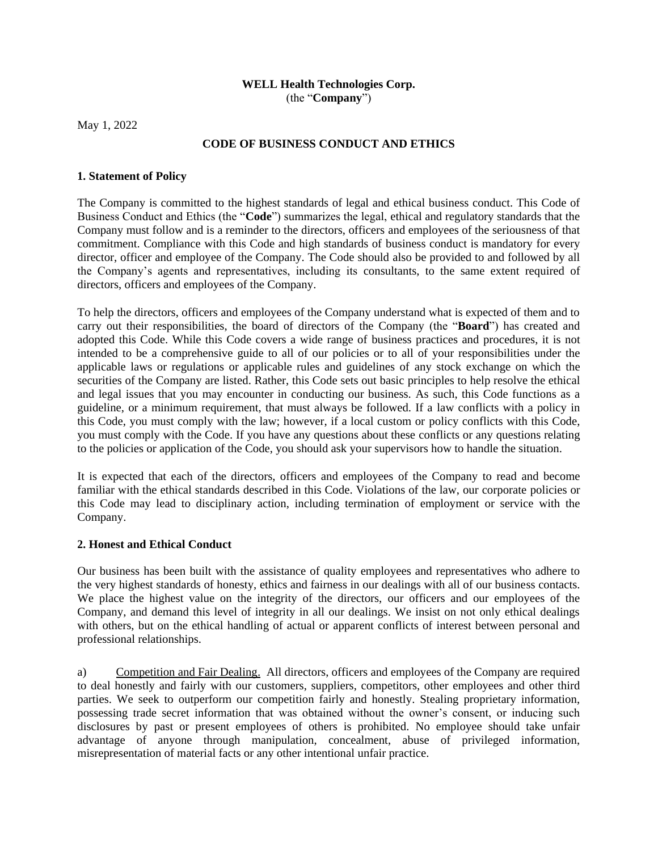#### **WELL Health Technologies Corp.** (the "**Company**")

May 1, 2022

## **CODE OF BUSINESS CONDUCT AND ETHICS**

#### **1. Statement of Policy**

The Company is committed to the highest standards of legal and ethical business conduct. This Code of Business Conduct and Ethics (the "**Code**") summarizes the legal, ethical and regulatory standards that the Company must follow and is a reminder to the directors, officers and employees of the seriousness of that commitment. Compliance with this Code and high standards of business conduct is mandatory for every director, officer and employee of the Company. The Code should also be provided to and followed by all the Company's agents and representatives, including its consultants, to the same extent required of directors, officers and employees of the Company.

To help the directors, officers and employees of the Company understand what is expected of them and to carry out their responsibilities, the board of directors of the Company (the "**Board**") has created and adopted this Code. While this Code covers a wide range of business practices and procedures, it is not intended to be a comprehensive guide to all of our policies or to all of your responsibilities under the applicable laws or regulations or applicable rules and guidelines of any stock exchange on which the securities of the Company are listed. Rather, this Code sets out basic principles to help resolve the ethical and legal issues that you may encounter in conducting our business. As such, this Code functions as a guideline, or a minimum requirement, that must always be followed. If a law conflicts with a policy in this Code, you must comply with the law; however, if a local custom or policy conflicts with this Code, you must comply with the Code. If you have any questions about these conflicts or any questions relating to the policies or application of the Code, you should ask your supervisors how to handle the situation.

It is expected that each of the directors, officers and employees of the Company to read and become familiar with the ethical standards described in this Code. Violations of the law, our corporate policies or this Code may lead to disciplinary action, including termination of employment or service with the Company.

### **2. Honest and Ethical Conduct**

Our business has been built with the assistance of quality employees and representatives who adhere to the very highest standards of honesty, ethics and fairness in our dealings with all of our business contacts. We place the highest value on the integrity of the directors, our officers and our employees of the Company, and demand this level of integrity in all our dealings. We insist on not only ethical dealings with others, but on the ethical handling of actual or apparent conflicts of interest between personal and professional relationships.

a) Competition and Fair Dealing. All directors, officers and employees of the Company are required to deal honestly and fairly with our customers, suppliers, competitors, other employees and other third parties. We seek to outperform our competition fairly and honestly. Stealing proprietary information, possessing trade secret information that was obtained without the owner's consent, or inducing such disclosures by past or present employees of others is prohibited. No employee should take unfair advantage of anyone through manipulation, concealment, abuse of privileged information, misrepresentation of material facts or any other intentional unfair practice.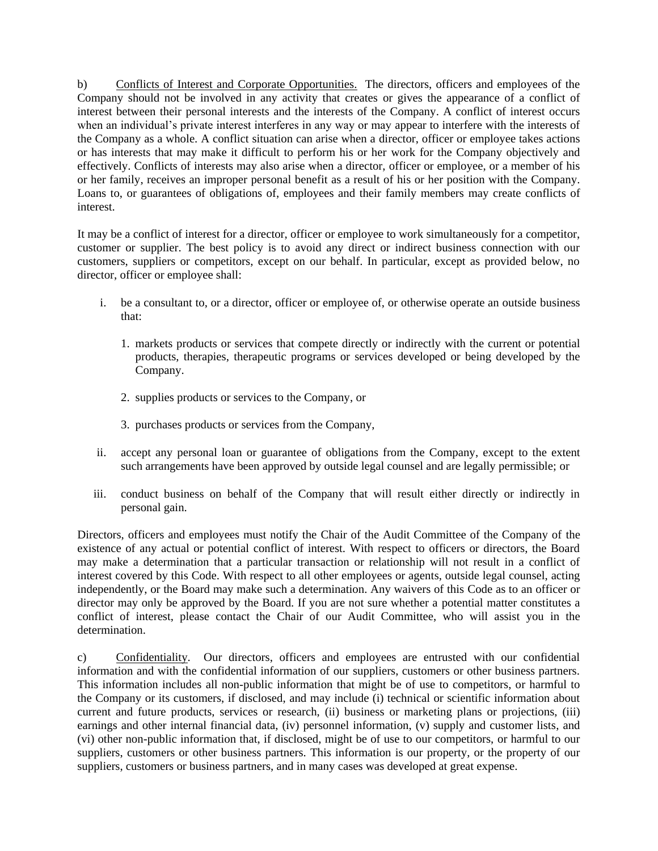b) Conflicts of Interest and Corporate Opportunities. The directors, officers and employees of the Company should not be involved in any activity that creates or gives the appearance of a conflict of interest between their personal interests and the interests of the Company. A conflict of interest occurs when an individual's private interest interferes in any way or may appear to interfere with the interests of the Company as a whole. A conflict situation can arise when a director, officer or employee takes actions or has interests that may make it difficult to perform his or her work for the Company objectively and effectively. Conflicts of interests may also arise when a director, officer or employee, or a member of his or her family, receives an improper personal benefit as a result of his or her position with the Company. Loans to, or guarantees of obligations of, employees and their family members may create conflicts of interest.

It may be a conflict of interest for a director, officer or employee to work simultaneously for a competitor, customer or supplier. The best policy is to avoid any direct or indirect business connection with our customers, suppliers or competitors, except on our behalf. In particular, except as provided below, no director, officer or employee shall:

- i. be a consultant to, or a director, officer or employee of, or otherwise operate an outside business that:
	- 1. markets products or services that compete directly or indirectly with the current or potential products, therapies, therapeutic programs or services developed or being developed by the Company.
	- 2. supplies products or services to the Company, or
	- 3. purchases products or services from the Company,
- ii. accept any personal loan or guarantee of obligations from the Company, except to the extent such arrangements have been approved by outside legal counsel and are legally permissible; or
- iii. conduct business on behalf of the Company that will result either directly or indirectly in personal gain.

Directors, officers and employees must notify the Chair of the Audit Committee of the Company of the existence of any actual or potential conflict of interest. With respect to officers or directors, the Board may make a determination that a particular transaction or relationship will not result in a conflict of interest covered by this Code. With respect to all other employees or agents, outside legal counsel, acting independently, or the Board may make such a determination. Any waivers of this Code as to an officer or director may only be approved by the Board. If you are not sure whether a potential matter constitutes a conflict of interest, please contact the Chair of our Audit Committee, who will assist you in the determination.

c) Confidentiality. Our directors, officers and employees are entrusted with our confidential information and with the confidential information of our suppliers, customers or other business partners. This information includes all non-public information that might be of use to competitors, or harmful to the Company or its customers, if disclosed, and may include (i) technical or scientific information about current and future products, services or research, (ii) business or marketing plans or projections, (iii) earnings and other internal financial data, (iv) personnel information, (v) supply and customer lists, and (vi) other non-public information that, if disclosed, might be of use to our competitors, or harmful to our suppliers, customers or other business partners. This information is our property, or the property of our suppliers, customers or business partners, and in many cases was developed at great expense.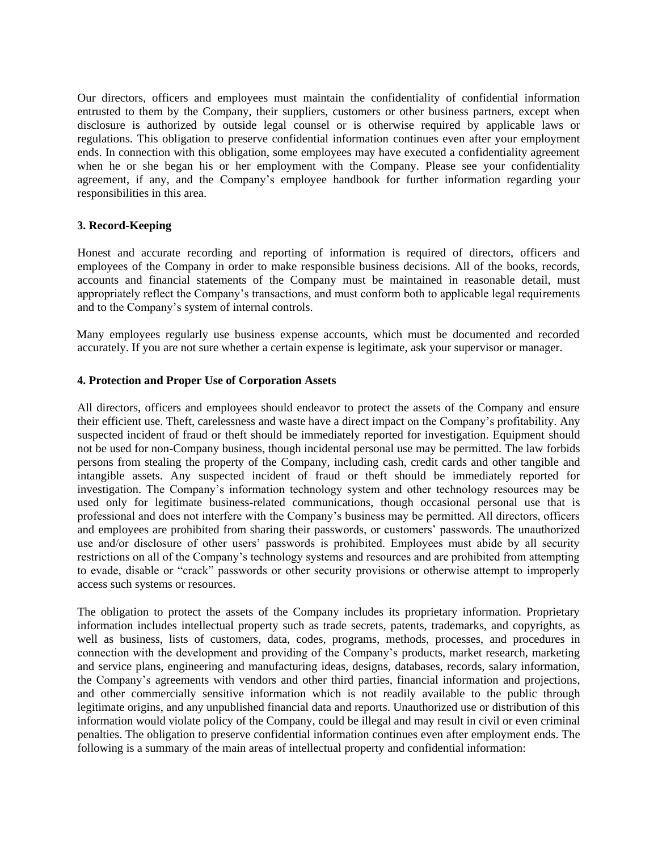Our directors, officers and employees must maintain the confidentiality of confidential information entrusted to them by the Company, their suppliers, customers or other business partners, except when disclosure is authorized by outside legal counsel or is otherwise required by applicable laws or regulations. This obligation to preserve confidential information continues even after your employment ends. In connection with this obligation, some employees may have executed a confidentiality agreement when he or she began his or her employment with the Company. Please see your confidentiality agreement, if any, and the Company's employee handbook for further information regarding your responsibilities in this area.

#### **3. Record-Keeping**

Honest and accurate recording and reporting of information is required of directors, officers and employees of the Company in order to make responsible business decisions. All of the books, records, accounts and financial statements of the Company must be maintained in reasonable detail, must appropriately reflect the Company's transactions, and must conform both to applicable legal requirements and to the Company's system of internal controls.

Many employees regularly use business expense accounts, which must be documented and recorded accurately. If you are not sure whether a certain expense is legitimate, ask your supervisor or manager.

#### **4. Protection and Proper Use of Corporation Assets**

All directors, officers and employees should endeavor to protect the assets of the Company and ensure their efficient use. Theft, carelessness and waste have a direct impact on the Company's profitability. Any suspected incident of fraud or theft should be immediately reported for investigation. Equipment should not be used for non-Company business, though incidental personal use may be permitted. The law forbids persons from stealing the property of the Company, including cash, credit cards and other tangible and intangible assets. Any suspected incident of fraud or theft should be immediately reported for investigation. The Company's information technology system and other technology resources may be used only for legitimate business-related communications, though occasional personal use that is professional and does not interfere with the Company's business may be permitted. All directors, officers and employees are prohibited from sharing their passwords, or customers' passwords. The unauthorized use and/or disclosure of other users' passwords is prohibited. Employees must abide by all security restrictions on all of the Company's technology systems and resources and are prohibited from attempting to evade, disable or "crack" passwords or other security provisions or otherwise attempt to improperly access such systems or resources.

The obligation to protect the assets of the Company includes its proprietary information. Proprietary information includes intellectual property such as trade secrets, patents, trademarks, and copyrights, as well as business, lists of customers, data, codes, programs, methods, processes, and procedures in connection with the development and providing of the Company's products, market research, marketing and service plans, engineering and manufacturing ideas, designs, databases, records, salary information, the Company's agreements with vendors and other third parties, financial information and projections, and other commercially sensitive information which is not readily available to the public through legitimate origins, and any unpublished financial data and reports. Unauthorized use or distribution of this information would violate policy of the Company, could be illegal and may result in civil or even criminal penalties. The obligation to preserve confidential information continues even after employment ends. The following is a summary of the main areas of intellectual property and confidential information: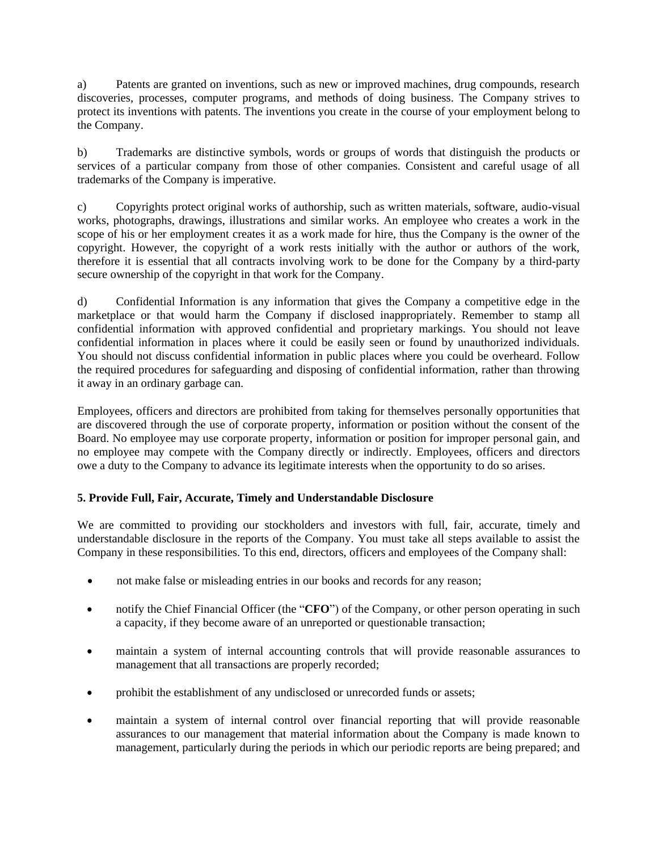a) Patents are granted on inventions, such as new or improved machines, drug compounds, research discoveries, processes, computer programs, and methods of doing business. The Company strives to protect its inventions with patents. The inventions you create in the course of your employment belong to the Company.

b) Trademarks are distinctive symbols, words or groups of words that distinguish the products or services of a particular company from those of other companies. Consistent and careful usage of all trademarks of the Company is imperative.

c) Copyrights protect original works of authorship, such as written materials, software, audio-visual works, photographs, drawings, illustrations and similar works. An employee who creates a work in the scope of his or her employment creates it as a work made for hire, thus the Company is the owner of the copyright. However, the copyright of a work rests initially with the author or authors of the work, therefore it is essential that all contracts involving work to be done for the Company by a third-party secure ownership of the copyright in that work for the Company.

d) Confidential Information is any information that gives the Company a competitive edge in the marketplace or that would harm the Company if disclosed inappropriately. Remember to stamp all confidential information with approved confidential and proprietary markings. You should not leave confidential information in places where it could be easily seen or found by unauthorized individuals. You should not discuss confidential information in public places where you could be overheard. Follow the required procedures for safeguarding and disposing of confidential information, rather than throwing it away in an ordinary garbage can.

Employees, officers and directors are prohibited from taking for themselves personally opportunities that are discovered through the use of corporate property, information or position without the consent of the Board. No employee may use corporate property, information or position for improper personal gain, and no employee may compete with the Company directly or indirectly. Employees, officers and directors owe a duty to the Company to advance its legitimate interests when the opportunity to do so arises.

# **5. Provide Full, Fair, Accurate, Timely and Understandable Disclosure**

We are committed to providing our stockholders and investors with full, fair, accurate, timely and understandable disclosure in the reports of the Company. You must take all steps available to assist the Company in these responsibilities. To this end, directors, officers and employees of the Company shall:

- not make false or misleading entries in our books and records for any reason;
- notify the Chief Financial Officer (the "**CFO**") of the Company, or other person operating in such a capacity, if they become aware of an unreported or questionable transaction;
- maintain a system of internal accounting controls that will provide reasonable assurances to management that all transactions are properly recorded;
- prohibit the establishment of any undisclosed or unrecorded funds or assets;
- maintain a system of internal control over financial reporting that will provide reasonable assurances to our management that material information about the Company is made known to management, particularly during the periods in which our periodic reports are being prepared; and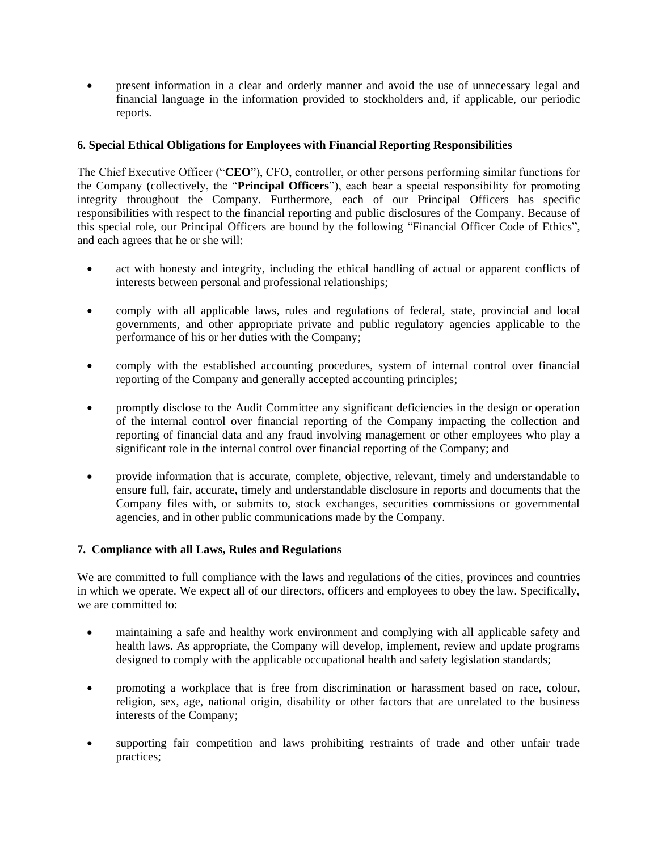present information in a clear and orderly manner and avoid the use of unnecessary legal and financial language in the information provided to stockholders and, if applicable, our periodic reports.

# **6. Special Ethical Obligations for Employees with Financial Reporting Responsibilities**

The Chief Executive Officer ("**CEO**"), CFO, controller, or other persons performing similar functions for the Company (collectively, the "**Principal Officers**"), each bear a special responsibility for promoting integrity throughout the Company. Furthermore, each of our Principal Officers has specific responsibilities with respect to the financial reporting and public disclosures of the Company. Because of this special role, our Principal Officers are bound by the following "Financial Officer Code of Ethics", and each agrees that he or she will:

- act with honesty and integrity, including the ethical handling of actual or apparent conflicts of interests between personal and professional relationships;
- comply with all applicable laws, rules and regulations of federal, state, provincial and local governments, and other appropriate private and public regulatory agencies applicable to the performance of his or her duties with the Company;
- comply with the established accounting procedures, system of internal control over financial reporting of the Company and generally accepted accounting principles;
- promptly disclose to the Audit Committee any significant deficiencies in the design or operation of the internal control over financial reporting of the Company impacting the collection and reporting of financial data and any fraud involving management or other employees who play a significant role in the internal control over financial reporting of the Company; and
- provide information that is accurate, complete, objective, relevant, timely and understandable to ensure full, fair, accurate, timely and understandable disclosure in reports and documents that the Company files with, or submits to, stock exchanges, securities commissions or governmental agencies, and in other public communications made by the Company.

### **7. Compliance with all Laws, Rules and Regulations**

We are committed to full compliance with the laws and regulations of the cities, provinces and countries in which we operate. We expect all of our directors, officers and employees to obey the law. Specifically, we are committed to:

- maintaining a safe and healthy work environment and complying with all applicable safety and health laws. As appropriate, the Company will develop, implement, review and update programs designed to comply with the applicable occupational health and safety legislation standards;
- promoting a workplace that is free from discrimination or harassment based on race, colour, religion, sex, age, national origin, disability or other factors that are unrelated to the business interests of the Company;
- supporting fair competition and laws prohibiting restraints of trade and other unfair trade practices;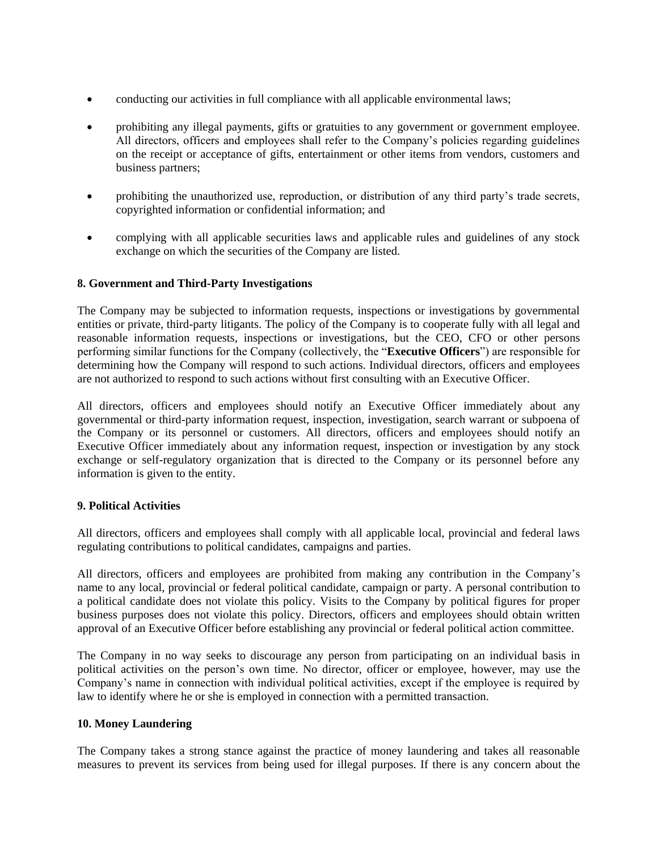- conducting our activities in full compliance with all applicable environmental laws;
- prohibiting any illegal payments, gifts or gratuities to any government or government employee. All directors, officers and employees shall refer to the Company's policies regarding guidelines on the receipt or acceptance of gifts, entertainment or other items from vendors, customers and business partners;
- prohibiting the unauthorized use, reproduction, or distribution of any third party's trade secrets, copyrighted information or confidential information; and
- complying with all applicable securities laws and applicable rules and guidelines of any stock exchange on which the securities of the Company are listed.

### **8. Government and Third-Party Investigations**

The Company may be subjected to information requests, inspections or investigations by governmental entities or private, third-party litigants. The policy of the Company is to cooperate fully with all legal and reasonable information requests, inspections or investigations, but the CEO, CFO or other persons performing similar functions for the Company (collectively, the "**Executive Officers**") are responsible for determining how the Company will respond to such actions. Individual directors, officers and employees are not authorized to respond to such actions without first consulting with an Executive Officer.

All directors, officers and employees should notify an Executive Officer immediately about any governmental or third-party information request, inspection, investigation, search warrant or subpoena of the Company or its personnel or customers. All directors, officers and employees should notify an Executive Officer immediately about any information request, inspection or investigation by any stock exchange or self-regulatory organization that is directed to the Company or its personnel before any information is given to the entity.

### **9. Political Activities**

All directors, officers and employees shall comply with all applicable local, provincial and federal laws regulating contributions to political candidates, campaigns and parties.

All directors, officers and employees are prohibited from making any contribution in the Company's name to any local, provincial or federal political candidate, campaign or party. A personal contribution to a political candidate does not violate this policy. Visits to the Company by political figures for proper business purposes does not violate this policy. Directors, officers and employees should obtain written approval of an Executive Officer before establishing any provincial or federal political action committee.

The Company in no way seeks to discourage any person from participating on an individual basis in political activities on the person's own time. No director, officer or employee, however, may use the Company's name in connection with individual political activities, except if the employee is required by law to identify where he or she is employed in connection with a permitted transaction.

### **10. Money Laundering**

The Company takes a strong stance against the practice of money laundering and takes all reasonable measures to prevent its services from being used for illegal purposes. If there is any concern about the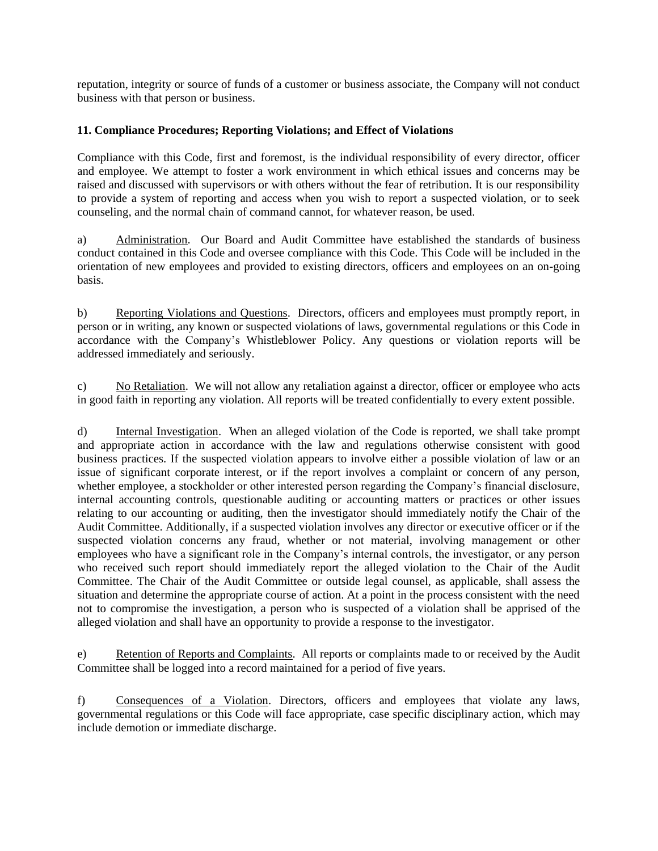reputation, integrity or source of funds of a customer or business associate, the Company will not conduct business with that person or business.

## **11. Compliance Procedures; Reporting Violations; and Effect of Violations**

Compliance with this Code, first and foremost, is the individual responsibility of every director, officer and employee. We attempt to foster a work environment in which ethical issues and concerns may be raised and discussed with supervisors or with others without the fear of retribution. It is our responsibility to provide a system of reporting and access when you wish to report a suspected violation, or to seek counseling, and the normal chain of command cannot, for whatever reason, be used.

a) Administration. Our Board and Audit Committee have established the standards of business conduct contained in this Code and oversee compliance with this Code. This Code will be included in the orientation of new employees and provided to existing directors, officers and employees on an on-going basis.

b) Reporting Violations and Questions. Directors, officers and employees must promptly report, in person or in writing, any known or suspected violations of laws, governmental regulations or this Code in accordance with the Company's Whistleblower Policy. Any questions or violation reports will be addressed immediately and seriously.

c) No Retaliation. We will not allow any retaliation against a director, officer or employee who acts in good faith in reporting any violation. All reports will be treated confidentially to every extent possible.

d) Internal Investigation. When an alleged violation of the Code is reported, we shall take prompt and appropriate action in accordance with the law and regulations otherwise consistent with good business practices. If the suspected violation appears to involve either a possible violation of law or an issue of significant corporate interest, or if the report involves a complaint or concern of any person, whether employee, a stockholder or other interested person regarding the Company's financial disclosure, internal accounting controls, questionable auditing or accounting matters or practices or other issues relating to our accounting or auditing, then the investigator should immediately notify the Chair of the Audit Committee. Additionally, if a suspected violation involves any director or executive officer or if the suspected violation concerns any fraud, whether or not material, involving management or other employees who have a significant role in the Company's internal controls, the investigator, or any person who received such report should immediately report the alleged violation to the Chair of the Audit Committee. The Chair of the Audit Committee or outside legal counsel, as applicable, shall assess the situation and determine the appropriate course of action. At a point in the process consistent with the need not to compromise the investigation, a person who is suspected of a violation shall be apprised of the alleged violation and shall have an opportunity to provide a response to the investigator.

e) Retention of Reports and Complaints. All reports or complaints made to or received by the Audit Committee shall be logged into a record maintained for a period of five years.

f) Consequences of a Violation. Directors, officers and employees that violate any laws, governmental regulations or this Code will face appropriate, case specific disciplinary action, which may include demotion or immediate discharge.